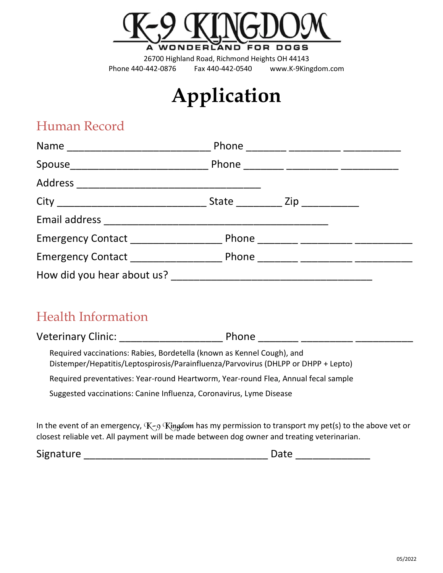

# Application

# Human Record

|                            | Phone ________ _________ ________      |
|----------------------------|----------------------------------------|
|                            |                                        |
|                            |                                        |
|                            | State ______________ Zip _____________ |
|                            |                                        |
| Emergency Contact [1986]   | Phone ________ __________ _________    |
|                            |                                        |
| How did you hear about us? |                                        |

# Health Information

Veterinary Clinic: \_\_\_\_\_\_\_\_\_\_\_\_\_\_\_\_\_\_ Phone \_\_\_\_\_\_\_ \_\_\_\_\_\_\_\_\_ \_\_\_\_\_\_\_\_\_\_

Required vaccinations: Rabies, Bordetella (known as Kennel Cough), and Distemper/Hepatitis/Leptospirosis/Parainfluenza/Parvovirus (DHLPP or DHPP + Lepto)

Required preventatives: Year-round Heartworm, Year-round Flea, Annual fecal sample

Suggested vaccinations: Canine Influenza, Coronavirus, Lyme Disease

In the event of an emergency,  $K-9$  Kingdom has my permission to transport my pet(s) to the above vet or closest reliable vet. All payment will be made between dog owner and treating veterinarian.

Signature \_\_\_\_\_\_\_\_\_\_\_\_\_\_\_\_\_\_\_\_\_\_\_\_\_\_\_\_\_\_\_\_ Date \_\_\_\_\_\_\_\_\_\_\_\_\_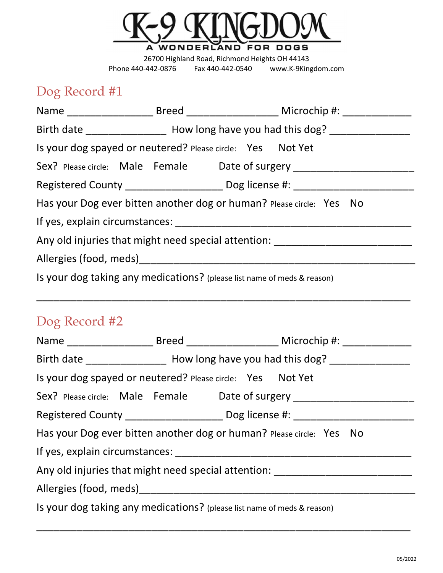

# Dog Record #1

| Birth date _____________________ How long have you had this dog? _______________ |  |                                                                                  |                                                                                                                       |  |  |
|----------------------------------------------------------------------------------|--|----------------------------------------------------------------------------------|-----------------------------------------------------------------------------------------------------------------------|--|--|
| Is your dog spayed or neutered? Please circle: Yes Not Yet                       |  |                                                                                  |                                                                                                                       |  |  |
|                                                                                  |  |                                                                                  | Sex? Please circle: Male Female Date of surgery ________________________________                                      |  |  |
|                                                                                  |  | Registered County _____________________ Dog license #: _________________________ |                                                                                                                       |  |  |
| Has your Dog ever bitten another dog or human? Please circle: Yes No             |  |                                                                                  |                                                                                                                       |  |  |
|                                                                                  |  |                                                                                  |                                                                                                                       |  |  |
|                                                                                  |  |                                                                                  | Any old injuries that might need special attention: ____________________________                                      |  |  |
|                                                                                  |  |                                                                                  |                                                                                                                       |  |  |
| Is your dog taking any medications? (please list name of meds & reason)          |  |                                                                                  |                                                                                                                       |  |  |
|                                                                                  |  |                                                                                  | <u> 1989 - Johann Stoff, deutscher Stoff, der Stoff, der Stoff, der Stoff, der Stoff, der Stoff, der Stoff, der S</u> |  |  |
| Dog Record #2                                                                    |  |                                                                                  |                                                                                                                       |  |  |
|                                                                                  |  |                                                                                  |                                                                                                                       |  |  |
|                                                                                  |  |                                                                                  | Birth date _____________________ How long have you had this dog? _______________                                      |  |  |
| Is your dog spayed or neutered? Please circle: Yes Not Yet                       |  |                                                                                  |                                                                                                                       |  |  |
|                                                                                  |  |                                                                                  | Sex? Please circle: Male Female Date of surgery ________________________________                                      |  |  |
|                                                                                  |  |                                                                                  | Registered County ______________________ Dog license #: ________________________                                      |  |  |
|                                                                                  |  |                                                                                  | Has your Dog ever bitten another dog or human? Please circle: Yes No                                                  |  |  |
|                                                                                  |  |                                                                                  |                                                                                                                       |  |  |
|                                                                                  |  |                                                                                  | Any old injuries that might need special attention: ____________________________                                      |  |  |
|                                                                                  |  |                                                                                  |                                                                                                                       |  |  |
| Is your dog taking any medications? (please list name of meds & reason)          |  |                                                                                  |                                                                                                                       |  |  |

\_\_\_\_\_\_\_\_\_\_\_\_\_\_\_\_\_\_\_\_\_\_\_\_\_\_\_\_\_\_\_\_\_\_\_\_\_\_\_\_\_\_\_\_\_\_\_\_\_\_\_\_\_\_\_\_\_\_\_\_\_\_\_\_\_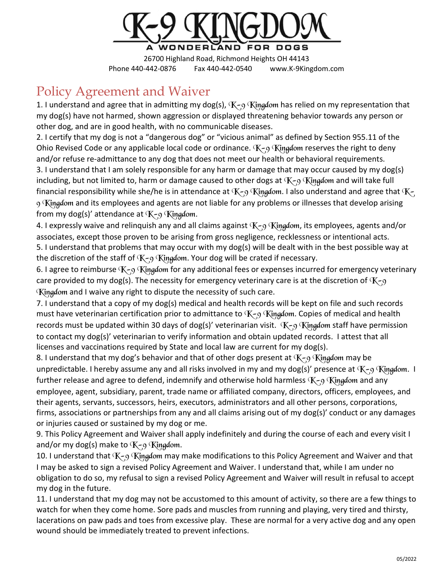

# Policy Agreement and Waiver

1. I understand and agree that in admitting my dog(s),  $K_{2}$  Kingdom has relied on my representation that my dog(s) have not harmed, shown aggression or displayed threatening behavior towards any person or other dog, and are in good health, with no communicable diseases.

2. I certify that my dog is not a "dangerous dog" or "vicious animal" as defined by Section 955.11 of the Ohio Revised Code or any applicable local code or ordinance.  $K_{-9}$  Kingdom reserves the right to deny and/or refuse re-admittance to any dog that does not meet our health or behavioral requirements. 3. I understand that I am solely responsible for any harm or damage that may occur caused by my dog(s) including, but not limited to, harm or damage caused to other dogs at  $K_{-9}$  Kingdom and will take full financial responsibility while she/he is in attendance at  $K-9$  Kingdom. I also understand and agree that  $K-$ 9 Kingdom and its employees and agents are not liable for any problems or illnesses that develop arising from my dog(s)' attendance at  $K-9$  Kingdom.

4. I expressly waive and relinquish any and all claims against  $K_{-9}$  Kingdom, its employees, agents and/or associates, except those proven to be arising from gross negligence, recklessness or intentional acts. 5. I understand that problems that may occur with my dog(s) will be dealt with in the best possible way at the discretion of the staff of  $K_{\zeta}$  Kingdom. Your dog will be crated if necessary.

6. I agree to reimburse  $K-9$  Kingdom for any additional fees or expenses incurred for emergency veterinary care provided to my dog(s). The necessity for emergency veterinary care is at the discretion of  $K_{-9}$ Kingdom and I waive any right to dispute the necessity of such care.

7. I understand that a copy of my dog(s) medical and health records will be kept on file and such records must have veterinarian certification prior to admittance to  $K_{\text{c}}$  Kingdom. Copies of medical and health records must be updated within 30 days of dog(s)' veterinarian visit.  $K_{-9}$  Kingdom staff have permission to contact my dog(s)' veterinarian to verify information and obtain updated records. I attest that all licenses and vaccinations required by State and local law are current for my dog(s).

8. I understand that my dog's behavior and that of other dogs present at  $K-9$  Kingdom may be unpredictable. I hereby assume any and all risks involved in my and my dog(s)' presence at  $K-9$  Kingdom. I further release and agree to defend, indemnify and otherwise hold harmless  $K_{-9}$  Kingdom and any employee, agent, subsidiary, parent, trade name or affiliated company, directors, officers, employees, and their agents, servants, successors, heirs, executors, administrators and all other persons, corporations, firms, associations or partnerships from any and all claims arising out of my dog(s)' conduct or any damages or injuries caused or sustained by my dog or me.

9. This Policy Agreement and Waiver shall apply indefinitely and during the course of each and every visit I and/or my dog(s) make to  $K-9$  Kingdom.

10. I understand that  $K_{29}$  Kingdom may make modifications to this Policy Agreement and Waiver and that I may be asked to sign a revised Policy Agreement and Waiver. I understand that, while I am under no obligation to do so, my refusal to sign a revised Policy Agreement and Waiver will result in refusal to accept my dog in the future.

11. I understand that my dog may not be accustomed to this amount of activity, so there are a few things to watch for when they come home. Sore pads and muscles from running and playing, very tired and thirsty, lacerations on paw pads and toes from excessive play. These are normal for a very active dog and any open wound should be immediately treated to prevent infections.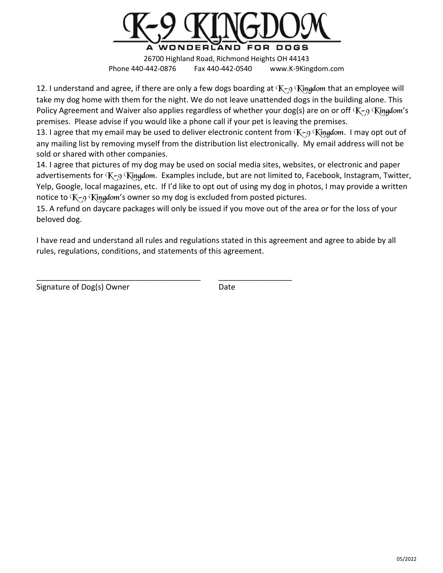

12. I understand and agree, if there are only a few dogs boarding at  $K_{-9}$  Kingdom that an employee will take my dog home with them for the night. We do not leave unattended dogs in the building alone. This Policy Agreement and Waiver also applies regardless of whether your dog(s) are on or off  $K_{79}$  Kingdom's premises. Please advise if you would like a phone call if your pet is leaving the premises.

13. I agree that my email may be used to deliver electronic content from  $K-9$  Kingdom. I may opt out of any mailing list by removing myself from the distribution list electronically. My email address will not be sold or shared with other companies.

14. I agree that pictures of my dog may be used on social media sites, websites, or electronic and paper advertisements for  $K_{-9}$  Kingdom. Examples include, but are not limited to, Facebook, Instagram, Twitter, Yelp, Google, local magazines, etc. If I'd like to opt out of using my dog in photos, I may provide a written notice to  $K_{\zeta}$ 9 Kingdom's owner so my dog is excluded from posted pictures.

15. A refund on daycare packages will only be issued if you move out of the area or for the loss of your beloved dog.

I have read and understand all rules and regulations stated in this agreement and agree to abide by all rules, regulations, conditions, and statements of this agreement.

\_\_\_\_\_\_\_\_\_\_\_\_\_\_\_\_\_\_\_\_\_\_\_\_\_\_\_\_\_\_\_\_\_\_\_\_\_\_ \_\_\_\_\_\_\_\_\_\_\_\_\_\_\_\_\_

Signature of Dog(s) Owner Date